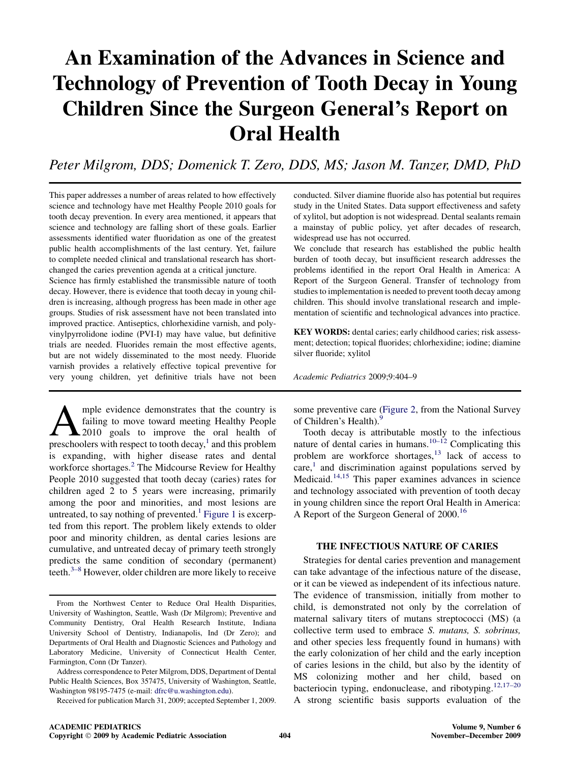# An Examination of the Advances in Science and Technology of Prevention of Tooth Decay in Young Children Since the Surgeon General's Report on Oral Health

Peter Milgrom, DDS; Domenick T. Zero, DDS, MS; Jason M. Tanzer, DMD, PhD

This paper addresses a number of areas related to how effectively science and technology have met Healthy People 2010 goals for tooth decay prevention. In every area mentioned, it appears that science and technology are falling short of these goals. Earlier assessments identified water fluoridation as one of the greatest public health accomplishments of the last century. Yet, failure to complete needed clinical and translational research has shortchanged the caries prevention agenda at a critical juncture.

Science has firmly established the transmissible nature of tooth decay. However, there is evidence that tooth decay in young children is increasing, although progress has been made in other age groups. Studies of risk assessment have not been translated into improved practice. Antiseptics, chlorhexidine varnish, and polyvinylpyrrolidone iodine (PVI-I) may have value, but definitive trials are needed. Fluorides remain the most effective agents, but are not widely disseminated to the most needy. Fluoride varnish provides a relatively effective topical preventive for very young children, yet definitive trials have not been

A mple evidence demonstrates that the country is<br>failing to move toward meeting Healthy People<br>preschoolers with respect to tooth decay  $\frac{1}{4}$  and this problem failing to move toward meeting Healthy People 2010 goals to improve the oral health of preschoolers with respect to tooth decay, $<sup>1</sup>$  and this problem</sup> is expanding, with higher disease rates and dental workforce shortages.<sup>[2](#page-4-0)</sup> The Midcourse Review for Healthy People 2010 suggested that tooth decay (caries) rates for children aged 2 to 5 years were increasing, primarily among the poor and minorities, and most lesions are untreated, to say nothing of prevented.<sup>1</sup> [Figure 1](#page-1-0) is excerpted from this report. The problem likely extends to older poor and minority children, as dental caries lesions are cumulative, and untreated decay of primary teeth strongly predicts the same condition of secondary (permanent) teeth. $3-8$  However, older children are more likely to receive

conducted. Silver diamine fluoride also has potential but requires study in the United States. Data support effectiveness and safety of xylitol, but adoption is not widespread. Dental sealants remain a mainstay of public policy, yet after decades of research, widespread use has not occurred.

We conclude that research has established the public health burden of tooth decay, but insufficient research addresses the problems identified in the report Oral Health in America: A Report of the Surgeon General. Transfer of technology from studies to implementation is needed to prevent tooth decay among children. This should involve translational research and implementation of scientific and technological advances into practice.

KEY WORDS: dental caries; early childhood caries; risk assessment; detection; topical fluorides; chlorhexidine; iodine; diamine silver fluoride; xylitol

Academic Pediatrics 2009;9:404–9

some preventive care ([Figure 2,](#page-1-0) from the National Survey of Children's Health).<sup>[9](#page-4-0)</sup>

Tooth decay is attributable mostly to the infectious nature of dental caries in humans.<sup>[10–12](#page-4-0)</sup> Complicating this problem are workforce shortages, $\frac{13}{12}$  $\frac{13}{12}$  $\frac{13}{12}$  lack of access to  $\text{care},^1$  $\text{care},^1$  and discrimination against populations served by Medicaid.[14,15](#page-4-0) This paper examines advances in science and technology associated with prevention of tooth decay in young children since the report Oral Health in America: A Report of the Surgeon General of 2000.<sup>[16](#page-4-0)</sup>

#### THE INFECTIOUS NATURE OF CARIES

Strategies for dental caries prevention and management can take advantage of the infectious nature of the disease, or it can be viewed as independent of its infectious nature. The evidence of transmission, initially from mother to child, is demonstrated not only by the correlation of maternal salivary titers of mutans streptococci (MS) (a collective term used to embrace S. mutans, S. sobrinus, and other species less frequently found in humans) with the early colonization of her child and the early inception of caries lesions in the child, but also by the identity of MS colonizing mother and her child, based on bacteriocin typing, endonuclease, and ribotyping.<sup>12,17-20</sup> A strong scientific basis supports evaluation of the

From the Northwest Center to Reduce Oral Health Disparities, University of Washington, Seattle, Wash (Dr Milgrom); Preventive and Community Dentistry, Oral Health Research Institute, Indiana University School of Dentistry, Indianapolis, Ind (Dr Zero); and Departments of Oral Health and Diagnostic Sciences and Pathology and Laboratory Medicine, University of Connecticut Health Center, Farmington, Conn (Dr Tanzer).

Address correspondence to Peter Milgrom, DDS, Department of Dental Public Health Sciences, Box 357475, University of Washington, Seattle, Washington 98195-7475 (e-mail: [dfrc@u.washington.edu\)](mailto:dfrc@u.washington.edu).

Received for publication March 31, 2009; accepted September 1, 2009.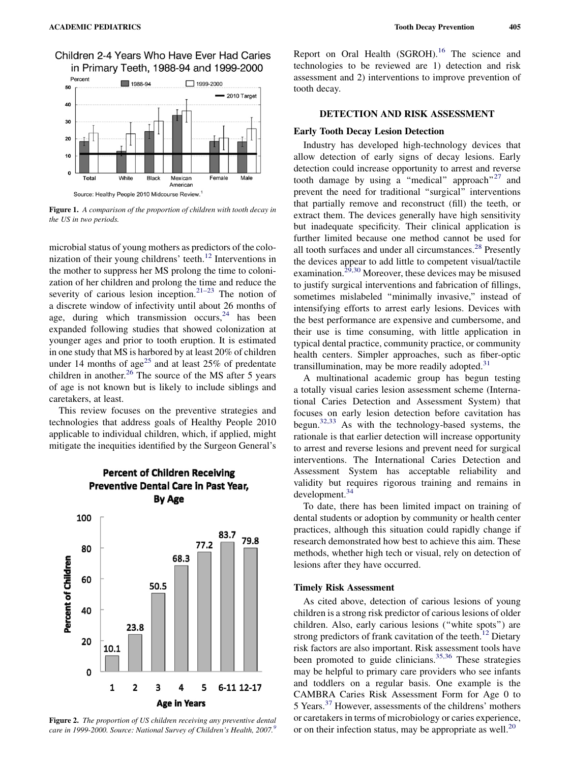<span id="page-1-0"></span>Children 2-4 Years Who Have Ever Had Caries in Primary Teeth, 1988-94 and 1999-2000



Figure 1. A comparison of the proportion of children with tooth decay in the US in two periods.

microbial status of young mothers as predictors of the colo-nization of their young childrens' teeth.<sup>[12](#page-4-0)</sup> Interventions in the mother to suppress her MS prolong the time to colonization of her children and prolong the time and reduce the severity of carious lesion inception.<sup>[21–23](#page-4-0)</sup> The notion of a discrete window of infectivity until about 26 months of age, during which transmission occurs,  $24$  has been expanded following studies that showed colonization at younger ages and prior to tooth eruption. It is estimated in one study that MS is harbored by at least 20% of children under 14 months of age<sup>[25](#page-4-0)</sup> and at least 25% of predentate children in another. $^{26}$  $^{26}$  $^{26}$  The source of the MS after 5 years of age is not known but is likely to include siblings and caretakers, at least.

This review focuses on the preventive strategies and technologies that address goals of Healthy People 2010 applicable to individual children, which, if applied, might mitigate the inequities identified by the Surgeon General's



# **Percent of Children Receiving** Preventive Dental Care in Past Year, **By Age**

care in 1[9](#page-4-0)99-2000. Source: National Survey of Children's Health, 2007.<sup>9</sup>

Report on Oral Health (SGROH).<sup>[16](#page-4-0)</sup> The science and technologies to be reviewed are 1) detection and risk assessment and 2) interventions to improve prevention of tooth decay.

#### DETECTION AND RISK ASSESSMENT

# Early Tooth Decay Lesion Detection

Industry has developed high-technology devices that allow detection of early signs of decay lesions. Early detection could increase opportunity to arrest and reverse tooth damage by using a "medical" approach"<sup>[27](#page-4-0)</sup> and prevent the need for traditional ''surgical'' interventions that partially remove and reconstruct (fill) the teeth, or extract them. The devices generally have high sensitivity but inadequate specificity. Their clinical application is further limited because one method cannot be used for all tooth surfaces and under all circumstances.<sup>[28](#page-4-0)</sup> Presently the devices appear to add little to competent visual/tactile examination. $2^{5,30}$  Moreover, these devices may be misused to justify surgical interventions and fabrication of fillings, sometimes mislabeled "minimally invasive," instead of intensifying efforts to arrest early lesions. Devices with the best performance are expensive and cumbersome, and their use is time consuming, with little application in typical dental practice, community practice, or community health centers. Simpler approaches, such as fiber-optic transillumination, may be more readily adopted. $31$ 

A multinational academic group has begun testing a totally visual caries lesion assessment scheme (International Caries Detection and Assessment System) that focuses on early lesion detection before cavitation has begun[.32,33](#page-4-0) As with the technology-based systems, the rationale is that earlier detection will increase opportunity to arrest and reverse lesions and prevent need for surgical interventions. The International Caries Detection and Assessment System has acceptable reliability and validity but requires rigorous training and remains in development[.34](#page-4-0)

To date, there has been limited impact on training of dental students or adoption by community or health center practices, although this situation could rapidly change if research demonstrated how best to achieve this aim. These methods, whether high tech or visual, rely on detection of lesions after they have occurred.

#### Timely Risk Assessment

As cited above, detection of carious lesions of young children is a strong risk predictor of carious lesions of older children. Also, early carious lesions (''white spots'') are strong predictors of frank cavitation of the teeth.<sup>[12](#page-4-0)</sup> Dietary risk factors are also important. Risk assessment tools have been promoted to guide clinicians.<sup>[35,36](#page-5-0)</sup> These strategies may be helpful to primary care providers who see infants and toddlers on a regular basis. One example is the CAMBRA Caries Risk Assessment Form for Age 0 to 5 Years.<sup>[37](#page-5-0)</sup> However, assessments of the childrens' mothers or caretakers in terms of microbiology or caries experience, **Figure 2.** The proportion of US children receiving any preventive dental or care takers in terms of microbiology or caries experience care in 1999-[20](#page-4-0)00. Source: National Survey of Children's Health, 2007.<sup>9</sup> or on their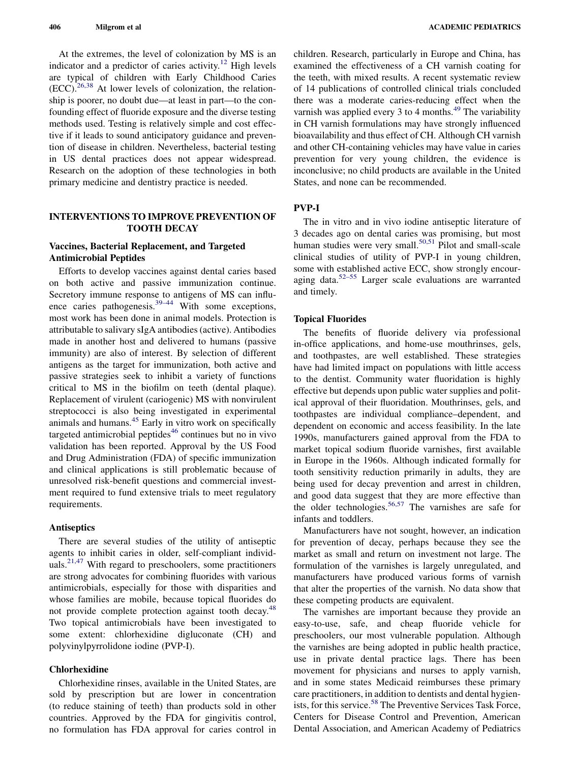At the extremes, the level of colonization by MS is an indicator and a predictor of caries activity.<sup>[12](#page-4-0)</sup> High levels are typical of children with Early Childhood Caries  $(ECC)$ .<sup>[26,38](#page-4-0)</sup> At lower levels of colonization, the relationship is poorer, no doubt due—at least in part—to the confounding effect of fluoride exposure and the diverse testing methods used. Testing is relatively simple and cost effective if it leads to sound anticipatory guidance and prevention of disease in children. Nevertheless, bacterial testing in US dental practices does not appear widespread. Research on the adoption of these technologies in both primary medicine and dentistry practice is needed.

#### INTERVENTIONS TO IMPROVE PREVENTION OF TOOTH DECAY

# Vaccines, Bacterial Replacement, and Targeted Antimicrobial Peptides

Efforts to develop vaccines against dental caries based on both active and passive immunization continue. Secretory immune response to antigens of MS can influence caries pathogenesis. $39-44$  With some exceptions, most work has been done in animal models. Protection is attributable to salivary sIgA antibodies (active). Antibodies made in another host and delivered to humans (passive immunity) are also of interest. By selection of different antigens as the target for immunization, both active and passive strategies seek to inhibit a variety of functions critical to MS in the biofilm on teeth (dental plaque). Replacement of virulent (cariogenic) MS with nonvirulent streptococci is also being investigated in experimental animals and humans. $45$  Early in vitro work on specifically targeted antimicrobial peptides $46$  continues but no in vivo validation has been reported. Approval by the US Food and Drug Administration (FDA) of specific immunization and clinical applications is still problematic because of unresolved risk-benefit questions and commercial investment required to fund extensive trials to meet regulatory requirements.

## Antiseptics

There are several studies of the utility of antiseptic agents to inhibit caries in older, self-compliant individuals. $2^{1,47}$  With regard to preschoolers, some practitioners are strong advocates for combining fluorides with various antimicrobials, especially for those with disparities and whose families are mobile, because topical fluorides do not provide complete protection against tooth decay.<sup>[48](#page-5-0)</sup> Two topical antimicrobials have been investigated to some extent: chlorhexidine digluconate (CH) and polyvinylpyrrolidone iodine (PVP-I).

# Chlorhexidine

Chlorhexidine rinses, available in the United States, are sold by prescription but are lower in concentration (to reduce staining of teeth) than products sold in other countries. Approved by the FDA for gingivitis control, no formulation has FDA approval for caries control in children. Research, particularly in Europe and China, has examined the effectiveness of a CH varnish coating for the teeth, with mixed results. A recent systematic review of 14 publications of controlled clinical trials concluded there was a moderate caries-reducing effect when the varnish was applied every 3 to 4 months.<sup>[49](#page-5-0)</sup> The variability in CH varnish formulations may have strongly influenced bioavailability and thus effect of CH. Although CH varnish and other CH-containing vehicles may have value in caries prevention for very young children, the evidence is inconclusive; no child products are available in the United States, and none can be recommended.

#### PVP-I

The in vitro and in vivo iodine antiseptic literature of 3 decades ago on dental caries was promising, but most human studies were very small.<sup>[50,51](#page-5-0)</sup> Pilot and small-scale clinical studies of utility of PVP-I in young children, some with established active ECC, show strongly encouraging data. $52-55$  Larger scale evaluations are warranted and timely.

#### Topical Fluorides

The benefits of fluoride delivery via professional in-office applications, and home-use mouthrinses, gels, and toothpastes, are well established. These strategies have had limited impact on populations with little access to the dentist. Community water fluoridation is highly effective but depends upon public water supplies and political approval of their fluoridation. Mouthrinses, gels, and toothpastes are individual compliance–dependent, and dependent on economic and access feasibility. In the late 1990s, manufacturers gained approval from the FDA to market topical sodium fluoride varnishes, first available in Europe in the 1960s. Although indicated formally for tooth sensitivity reduction primarily in adults, they are being used for decay prevention and arrest in children, and good data suggest that they are more effective than the older technologies.<sup>[56,57](#page-5-0)</sup> The varnishes are safe for infants and toddlers.

Manufacturers have not sought, however, an indication for prevention of decay, perhaps because they see the market as small and return on investment not large. The formulation of the varnishes is largely unregulated, and manufacturers have produced various forms of varnish that alter the properties of the varnish. No data show that these competing products are equivalent.

The varnishes are important because they provide an easy-to-use, safe, and cheap fluoride vehicle for preschoolers, our most vulnerable population. Although the varnishes are being adopted in public health practice, use in private dental practice lags. There has been movement for physicians and nurses to apply varnish, and in some states Medicaid reimburses these primary care practitioners, in addition to dentists and dental hygien-ists, for this service.<sup>[58](#page-5-0)</sup> The Preventive Services Task Force, Centers for Disease Control and Prevention, American Dental Association, and American Academy of Pediatrics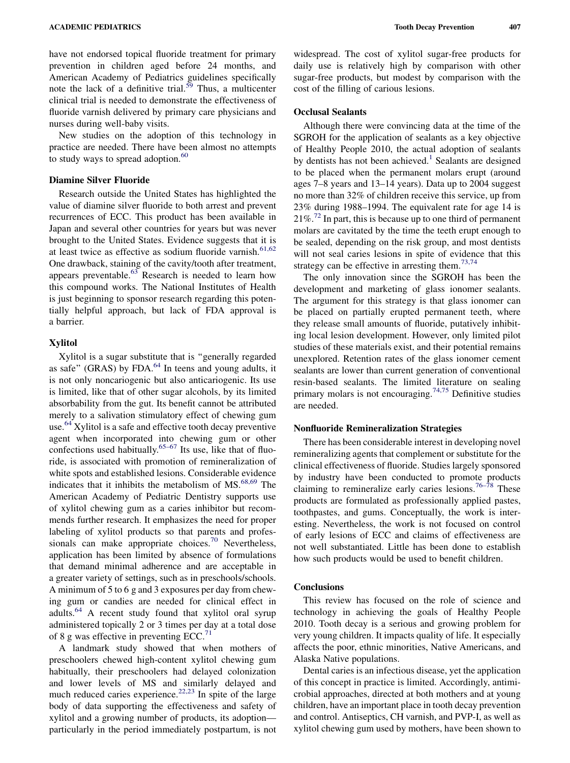have not endorsed topical fluoride treatment for primary prevention in children aged before 24 months, and American Academy of Pediatrics guidelines specifically note the lack of a definitive trial. $59$  Thus, a multicenter clinical trial is needed to demonstrate the effectiveness of fluoride varnish delivered by primary care physicians and nurses during well-baby visits.

New studies on the adoption of this technology in practice are needed. There have been almost no attempts to study ways to spread adoption.<sup>[60](#page-5-0)</sup>

### Diamine Silver Fluoride

Research outside the United States has highlighted the value of diamine silver fluoride to both arrest and prevent recurrences of ECC. This product has been available in Japan and several other countries for years but was never brought to the United States. Evidence suggests that it is at least twice as effective as sodium fluoride varnish. $61,62$ One drawback, staining of the cavity/tooth after treatment, appears preventable.<sup>[63](#page-5-0)</sup> Research is needed to learn how this compound works. The National Institutes of Health is just beginning to sponsor research regarding this potentially helpful approach, but lack of FDA approval is a barrier.

# Xylitol

Xylitol is a sugar substitute that is ''generally regarded as safe" (GRAS) by FDA. $^{64}$  $^{64}$  $^{64}$  In teens and young adults, it is not only noncariogenic but also anticariogenic. Its use is limited, like that of other sugar alcohols, by its limited absorbability from the gut. Its benefit cannot be attributed merely to a salivation stimulatory effect of chewing gum use.<sup>[64](#page-5-0)</sup> Xylitol is a safe and effective tooth decay preventive agent when incorporated into chewing gum or other confections used habitually. $65-67$  Its use, like that of fluoride, is associated with promotion of remineralization of white spots and established lesions. Considerable evidence indicates that it inhibits the metabolism of  $MS.68,69$  $MS.68,69$  The American Academy of Pediatric Dentistry supports use of xylitol chewing gum as a caries inhibitor but recommends further research. It emphasizes the need for proper labeling of xylitol products so that parents and profes-sionals can make appropriate choices.<sup>[70](#page-5-0)</sup> Nevertheless, application has been limited by absence of formulations that demand minimal adherence and are acceptable in a greater variety of settings, such as in preschools/schools. A minimum of 5 to 6 g and 3 exposures per day from chewing gum or candies are needed for clinical effect in adults.[64](#page-5-0) A recent study found that xylitol oral syrup administered topically 2 or 3 times per day at a total dose of 8 g was effective in preventing  $ECC.<sup>71</sup>$  $ECC.<sup>71</sup>$  $ECC.<sup>71</sup>$ 

A landmark study showed that when mothers of preschoolers chewed high-content xylitol chewing gum habitually, their preschoolers had delayed colonization and lower levels of MS and similarly delayed and much reduced caries experience.<sup>[22,23](#page-4-0)</sup> In spite of the large body of data supporting the effectiveness and safety of xylitol and a growing number of products, its adoption particularly in the period immediately postpartum, is not

widespread. The cost of xylitol sugar-free products for daily use is relatively high by comparison with other sugar-free products, but modest by comparison with the cost of the filling of carious lesions.

# Occlusal Sealants

Although there were convincing data at the time of the SGROH for the application of sealants as a key objective of Healthy People 2010, the actual adoption of sealants by dentists has not been achieved.<sup>1</sup> Sealants are designed to be placed when the permanent molars erupt (around ages 7–8 years and 13–14 years). Data up to 2004 suggest no more than 32% of children receive this service, up from 23% during 1988–1994. The equivalent rate for age 14 is  $21\%$ .<sup>72</sup> In part, this is because up to one third of permanent molars are cavitated by the time the teeth erupt enough to be sealed, depending on the risk group, and most dentists will not seal caries lesions in spite of evidence that this strategy can be effective in arresting them. $73,74$ 

The only innovation since the SGROH has been the development and marketing of glass ionomer sealants. The argument for this strategy is that glass ionomer can be placed on partially erupted permanent teeth, where they release small amounts of fluoride, putatively inhibiting local lesion development. However, only limited pilot studies of these materials exist, and their potential remains unexplored. Retention rates of the glass ionomer cement sealants are lower than current generation of conventional resin-based sealants. The limited literature on sealing primary molars is not encouraging.<sup>[74,75](#page-5-0)</sup> Definitive studies are needed.

#### Nonfluoride Remineralization Strategies

There has been considerable interest in developing novel remineralizing agents that complement or substitute for the clinical effectiveness of fluoride. Studies largely sponsored by industry have been conducted to promote products claiming to remineralize early caries lesions.<sup>[76–78](#page-5-0)</sup> These products are formulated as professionally applied pastes, toothpastes, and gums. Conceptually, the work is interesting. Nevertheless, the work is not focused on control of early lesions of ECC and claims of effectiveness are not well substantiated. Little has been done to establish how such products would be used to benefit children.

# **Conclusions**

This review has focused on the role of science and technology in achieving the goals of Healthy People 2010. Tooth decay is a serious and growing problem for very young children. It impacts quality of life. It especially affects the poor, ethnic minorities, Native Americans, and Alaska Native populations.

Dental caries is an infectious disease, yet the application of this concept in practice is limited. Accordingly, antimicrobial approaches, directed at both mothers and at young children, have an important place in tooth decay prevention and control. Antiseptics, CH varnish, and PVP-I, as well as xylitol chewing gum used by mothers, have been shown to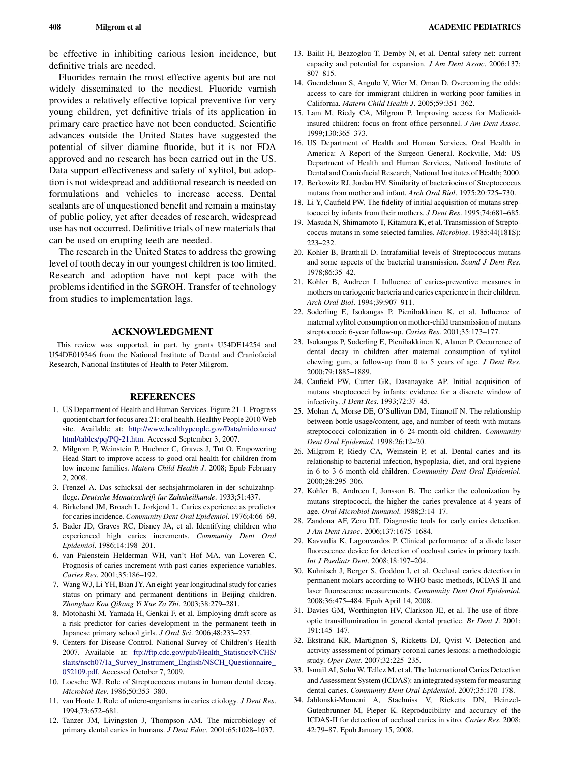<span id="page-4-0"></span>be effective in inhibiting carious lesion incidence, but definitive trials are needed.

Fluorides remain the most effective agents but are not widely disseminated to the neediest. Fluoride varnish provides a relatively effective topical preventive for very young children, yet definitive trials of its application in primary care practice have not been conducted. Scientific advances outside the United States have suggested the potential of silver diamine fluoride, but it is not FDA approved and no research has been carried out in the US. Data support effectiveness and safety of xylitol, but adoption is not widespread and additional research is needed on formulations and vehicles to increase access. Dental sealants are of unquestioned benefit and remain a mainstay of public policy, yet after decades of research, widespread use has not occurred. Definitive trials of new materials that can be used on erupting teeth are needed.

The research in the United States to address the growing level of tooth decay in our youngest children is too limited. Research and adoption have not kept pace with the problems identified in the SGROH. Transfer of technology from studies to implementation lags.

#### ACKNOWLEDGMENT

This review was supported, in part, by grants U54DE14254 and U54DE019346 from the National Institute of Dental and Craniofacial Research, National Institutes of Health to Peter Milgrom.

#### REFERENCES

- 1. US Department of Health and Human Services. Figure 21-1. Progress quotient chart for focus area 21: oral health. Healthy People 2010 Web site. Available at: [http://www.healthypeople.gov/Data/midcourse/](http://www.healthypeople.gov/Data/midcourse/html/tables/pq/PQ-21.htm) [html/tables/pq/PQ-21.htm](http://www.healthypeople.gov/Data/midcourse/html/tables/pq/PQ-21.htm). Accessed September 3, 2007.
- 2. Milgrom P, Weinstein P, Huebner C, Graves J, Tut O. Empowering Head Start to improve access to good oral health for children from low income families. Matern Child Health J. 2008; Epub February 2, 2008.
- 3. Frenzel A. Das schicksal der sechsjahrmolaren in der schulzahnpflege. Deutsche Monatsschrift fur Zahnheilkunde. 1933;51:437.
- 4. Birkeland JM, Broach L, Jorkjend L. Caries experience as predictor for caries incidence. Community Dent Oral Epidemiol. 1976;4:66–69.
- 5. Bader JD, Graves RC, Disney JA, et al. Identifying children who experienced high caries increments. Community Dent Oral Epidemiol. 1986;14:198–201.
- 6. van Palenstein Helderman WH, van't Hof MA, van Loveren C. Prognosis of caries increment with past caries experience variables. Caries Res. 2001;35:186–192.
- 7. Wang WJ, Li YH, Bian JY. An eight-year longitudinal study for caries status on primary and permanent dentitions in Beijing children. Zhonghua Kou Qikang Yi Xue Za Zhi. 2003;38:279–281.
- 8. Motohashi M, Yamada H, Genkai F, et al. Employing dmft score as a risk predictor for caries development in the permanent teeth in Japanese primary school girls. J Oral Sci. 2006;48:233–237.
- 9. Centers for Disease Control. National Survey of Children's Health 2007. Available at: [ftp://ftp.cdc.gov/pub/Health\\_Statistics/NCHS/](ftp://ftp.cdc.gov/pub/Health_Statistics/NCHS/slaits/nsch07/1a_Survey_Instrument_English/NSCH_Questionnaire_052109.pdf) [slaits/nsch07/1a\\_Survey\\_Instrument\\_English/NSCH\\_Questionnaire\\_](ftp://ftp.cdc.gov/pub/Health_Statistics/NCHS/slaits/nsch07/1a_Survey_Instrument_English/NSCH_Questionnaire_052109.pdf) [052109.pdf](ftp://ftp.cdc.gov/pub/Health_Statistics/NCHS/slaits/nsch07/1a_Survey_Instrument_English/NSCH_Questionnaire_052109.pdf). Accessed October 7, 2009.
- 10. Loesche WJ. Role of Streptococcus mutans in human dental decay. Microbiol Rev. 1986;50:353–380.
- 11. van Houte J. Role of micro-organisms in caries etiology. J Dent Res. 1994;73:672–681.
- 12. Tanzer JM, Livingston J, Thompson AM. The microbiology of primary dental caries in humans. J Dent Educ. 2001;65:1028–1037.
- 13. Bailit H, Beazoglou T, Demby N, et al. Dental safety net: current capacity and potential for expansion. J Am Dent Assoc. 2006;137: 807–815.
- 14. Guendelman S, Angulo V, Wier M, Oman D. Overcoming the odds: access to care for immigrant children in working poor families in California. Matern Child Health J. 2005;59:351–362.
- 15. Lam M, Riedy CA, Milgrom P. Improving access for Medicaidinsured children: focus on front-office personnel. J Am Dent Assoc. 1999;130:365–373.
- 16. US Department of Health and Human Services. Oral Health in America: A Report of the Surgeon General. Rockville, Md: US Department of Health and Human Services, National Institute of Dental and Craniofacial Research, National Institutes of Health; 2000.
- 17. Berkowitz RJ, Jordan HV. Similarity of bacteriocins of Streptococcus mutans from mother and infant. Arch Oral Biol. 1975;20:725–730.
- 18. Li Y, Caufield PW. The fidelity of initial acquisition of mutans streptococci by infants from their mothers. J Dent Res. 1995;74:681–685.
- 19. Masuda N, Shimamoto T, Kitamura K, et al. Transmission of Streptococcus mutans in some selected families. Microbios. 1985;44(181S): 223–232.
- 20. Kohler B, Bratthall D. Intrafamilial levels of Streptococcus mutans and some aspects of the bacterial transmission. Scand J Dent Res. 1978;86:35–42.
- 21. Kohler B, Andreen I. Influence of caries-preventive measures in mothers on cariogenic bacteria and caries experience in their children. Arch Oral Biol. 1994;39:907–911.
- 22. Soderling E, Isokangas P, Pienihakkinen K, et al. Influence of maternal xylitol consumption on mother-child transmission of mutans streptococci: 6-year follow-up. Caries Res. 2001;35:173–177.
- 23. Isokangas P, Soderling E, Pienihakkinen K, Alanen P. Occurrence of dental decay in children after maternal consumption of xylitol chewing gum, a follow-up from 0 to 5 years of age. J Dent Res. 2000;79:1885–1889.
- 24. Caufield PW, Cutter GR, Dasanayake AP. Initial acquisition of mutans streptococci by infants: evidence for a discrete window of infectivity. J Dent Res. 1993;72:37–45.
- 25. Mohan A, Morse DE, O'Sullivan DM, Tinanoff N. The relationship between bottle usage/content, age, and number of teeth with mutans streptococci colonization in 6–24-month-old children. Community Dent Oral Epidemiol. 1998;26:12–20.
- 26. Milgrom P, Riedy CA, Weinstein P, et al. Dental caries and its relationship to bacterial infection, hypoplasia, diet, and oral hygiene in 6 to 3 6 month old children. Community Dent Oral Epidemiol. 2000;28:295–306.
- 27. Kohler B, Andreen I, Jonsson B. The earlier the colonization by mutans streptococci, the higher the caries prevalence at 4 years of age. Oral Microbiol Immunol. 1988;3:14–17.
- 28. Zandona AF, Zero DT. Diagnostic tools for early caries detection. J Am Dent Assoc. 2006;137:1675–1684.
- 29. Kavvadia K, Lagouvardos P. Clinical performance of a diode laser fluorescence device for detection of occlusal caries in primary teeth. Int J Paediatr Dent. 2008;18:197–204.
- 30. Kuhnisch J, Berger S, Goddon I, et al. Occlusal caries detection in permanent molars according to WHO basic methods, ICDAS II and laser fluorescence measurements. Community Dent Oral Epidemiol. 2008;36:475–484. Epub April 14, 2008.
- 31. Davies GM, Worthington HV, Clarkson JE, et al. The use of fibreoptic transillumination in general dental practice. Br Dent J. 2001; 191:145–147.
- 32. Ekstrand KR, Martignon S, Ricketts DJ, Qvist V. Detection and activity assessment of primary coronal caries lesions: a methodologic study. Oper Dent. 2007;32:225–235.
- 33. Ismail AI, Sohn W, Tellez M, et al. The International Caries Detection and Assessment System (ICDAS): an integrated system for measuring dental caries. Community Dent Oral Epidemiol. 2007;35:170–178.
- 34. Jablonski-Momeni A, Stachniss V, Ricketts DN, Heinzel-Gutenbrunner M, Pieper K. Reproducibility and accuracy of the ICDAS-II for detection of occlusal caries in vitro. Caries Res. 2008; 42:79–87. Epub January 15, 2008.